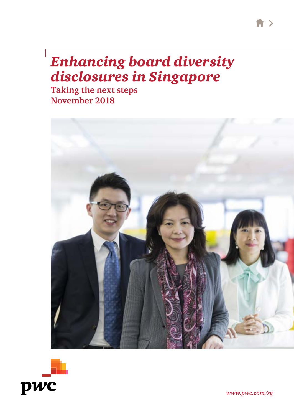# *Enhancing board diversity disclosures in Singapore*

**Taking the next steps November 2018**





*www.pwc.com/sg*

 $\rightarrow$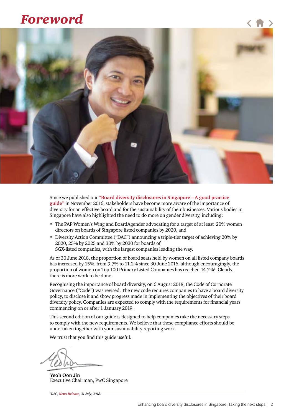# *Foreword*



Since we published our **"[Board diversity disclosures in Singapore – A good practice](https://www.pwc.com/sg/en/publications/assets/board-diversity-disclosures.pdf)  [guide"](https://www.pwc.com/sg/en/publications/assets/board-diversity-disclosures.pdf)** in November 2016, stakeholders have become more aware of the importance of diversity for an effective board and for the sustainability of their businesses. Various bodies in Singapore have also highlighted the need to do more on gender diversity, including:

- The PAP Women's Wing and BoardAgender advocating for a target of at least 20% women directors on boards of Singapore listed companies by 2020, and
- Diversity Action Committee ("DAC") announcing a triple-tier target of achieving 20% by 2020, 25% by 2025 and 30% by 2030 for boards of SGX-listed companies, with the largest companies leading the way.

As of 30 June 2018, the proportion of board seats held by women on all listed company boards has increased by 15%, from 9.7% to 11.2% since 30 June 2016, although encouragingly, the proportion of women on Top 100 Primary Listed Companies has reached 14.7%<sup>1</sup>. Clearly, there is more work to be done.

Recognising the importance of board diversity, on 6 August 2018, the Code of Corporate Governance ("Code") was revised. The new code requires companies to have a board diversity policy, to disclose it and show progress made in implementing the objectives of their board diversity policy. Companies are expected to comply with the requirements for financial years commencing on or after 1 January 2019.

This second edition of our guide is designed to help companies take the necessary steps to comply with the new requirements. We believe that these compliance efforts should be undertaken together with your sustainability reporting work.

We trust that you find this guide useful.

**Yeoh Oon Jin** Executive Chairman, PwC Singapore

*1 DAC, [News Release](http://www.diversityaction.sg/wp-content/uploads/2018/07/DAC-News-Rel-Women-rep-on-boards-of-Top-100-SGX-listed-co-up-20percent-from-a-year-ago-to-hit-14.7-percent.pdf), 31 July, 2018.*

〈 信 〉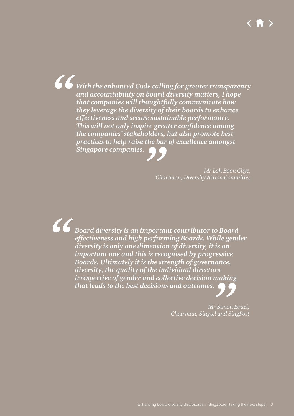*With the enhanced Code calling for greater transparency and accountability on board diversity matters, I hope that companies will thoughtfully communicate how they leverage the diversity of their boards to enhance effectiveness and secure sustainable performance. This will not only inspire greater confidence among the companies' stakeholders, but also promote best practices to help raise the bar of excellence amongst Singapore companies.*

> *Mr Loh Boon Chye, Chairman, Diversity Action Committee*

*Board diversity is an important contributor to Board effectiveness and high performing Boards. While gender diversity is only one dimension of diversity, it is an important one and this is recognised by progressive Boards. Ultimately it is the strength of governance, diversity, the quality of the individual directors irrespective of gender and collective decision making that leads to the best decisions and outcomes.*

> *Mr Simon Israel, Chairman, Singtel and SingPost*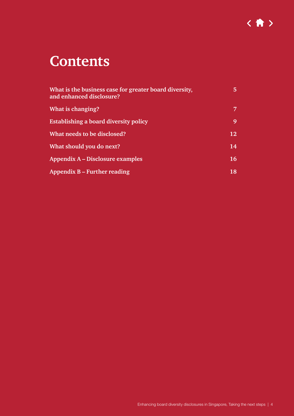

# **Contents**

| What is the business case for greater board diversity,<br>and enhanced disclosure? | 5  |
|------------------------------------------------------------------------------------|----|
| What is changing?                                                                  | 7  |
| <b>Establishing a board diversity policy</b>                                       | 9  |
| What needs to be disclosed?                                                        | 12 |
| What should you do next?                                                           | 14 |
| Appendix A – Disclosure examples                                                   | 16 |
| Appendix $B$ – Further reading                                                     | 18 |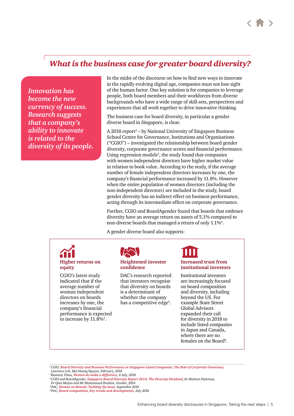# <span id="page-4-0"></span>*What is the business case for greater board diversity?*

*Innovation has become the new currency of success. Research suggests that a company's ability to innovate is related to the diversity of its people.* In the midst of the discourse on how to find new ways to innovate in the rapidly evolving digital age, companies must not lose sight of the human factor. One key solution is for companies to leverage people, both board members and their workforces from diverse backgrounds who have a wide range of skill-sets, perspectives and experiences that all work together to drive innovative thinking.

The business case for board diversity, in particular a gender diverse board in Singapore, is clear.

A 2018 report<sup>2</sup> – by National University of Singapore Business School Centre for Governance, Institutions and Organisations ("CGIO") – investigated the relationship between board gender diversity, corporate governance scores and financial performance. Using regression models<sup>3</sup>, the study found that companies with women independent directors have higher market value in relation to book value. According to the study, if the average number of female independent directors increases by one, the company's financial performance increased by 11.8%. However when the entire population of women directors (including the non-independent directors) are included in the study, board gender diversity has an indirect effect on business performance, acting through its intermediate effect on corporate governance.

Further, CGIO and BoardAgender found that boards that embrace diversity have an average return on assets of 5.1% compared to non-diverse boards that managed a return of only 1.1%<sup>4</sup>.

A gender diverse board also supports:

# **Higher returns on equity**

CGIO's latest study indicated that if the average number of woman independent directors on boards increases by one, the company's financial performance is expected to increase by  $11.8\%$ <sup>2</sup>.



#### **Heightened investor confidence**

DAC's research reported that investors recognise that diversity on boards is a determinant of whether the company has a competitive edge<sup>5</sup>.

#### **Increased trust from institutional investors**

Institutional investors are increasingly focused on board composition and diversity, including beyond the US. For example State Street Global Advisors expanded their call for diversity in 2018 to include listed companies in Japan and Canada, where there are no females on the Board<sup>6</sup>.

*2 CGIO, [Board Diversity and Business Performance in Singapore-Listed Companies, The Role of Corporate Goverance](https://bschool.nus.edu.sg/images/CGIO/board-diversity/CGIO_Board-Diversity-and-Business-Performance-in-Singapore-listed-Companies.pdf), Lawrence Loh, Mai Huong Nguyen, February, 2018* 

*3 Business Times, Women do make a difference[, 4 July, 2018](https://www.businesstimes.com.sg/hub/leading-women/women-do-make-a-difference) 4 CGIO and BoardAgender, [Singapore Board Diversity Report 2014: The Diversity Dividend](https://bschool.nus.edu.sg/Portals/0/images/CGIO/Report/diversity-report-2014.pdf), Dr Marleen Dieleman,*

*5 DAC, [Women on Boards: Tackling the Issue](http://www.diversityaction.sg/wp-content/uploads/2015/03/a-DAC_Report_Women_On-Boards.pdf), September 2016 6 PwC, [Board composition, Key trends and developments](https://www.pwc.com/us/en/governance-insights-center/publications/assets/pwc-board-composition-key-trends-and-developments.pdf), July 2018* 

*Dr Qian Meijun and Mr Muhammad Ibrahim, October, 2014*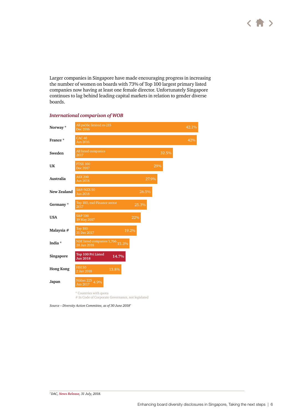Larger companies in Singapore have made encouraging progress in increasing the number of women on boards with 73% of Top 100 largest primary listed companies now having at least one female director. Unfortunately Singapore continues to lag behind leading capital markets in relation to gender diverse boards.



#### *International comparison of WOB*

# In Code of Corporate Governance, not legislated

*Source – Diversity Action Committee, as of 30 June 20187*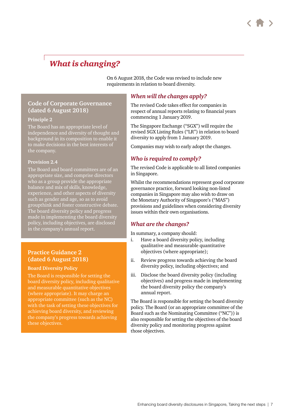# <span id="page-6-0"></span>*What is changing?*

On 6 August 2018, the Code was revised to include new requirements in relation to board diversity.

### **Code of Corporate Governance (dated 6 August 2018)**

### **Principle 2**

The Board has an appropriate level of independence and diversity of thought and background in its composition to enable it to make decisions in the best interests of the company.

#### **Provision 2.4**

The Board and board committees are of an appropriate size, and comprise directors who as a group provide the appropriate balance and mix of skills, knowledge, experience, and other aspects of diversity such as gender and age, so as to avoid groupthink and foster constructive debate. The board diversity policy and progress made in implementing the board diversity policy, including objectives, are disclosed in the company's annual report.

## **Practice Guidance 2 (dated 6 August 2018)**

#### **Board Diversity Policy**

The Board is responsible for setting the board diversity policy, including qualitative and measurable quantitative objectives (where appropriate). It may charge an appropriate committee (such as the NC) with the task of setting these objectives for achieving board diversity, and reviewing the company's progress towards achieving these objectives.

### *When will the changes apply?*

The revised Code takes effect for companies in respect of annual reports relating to financial years commencing 1 January 2019.

The Singapore Exchange ("SGX") will require the revised SGX Listing Rules ("LR") in relation to board diversity to apply from 1 January 2019.

Companies may wish to early adopt the changes.

## *Who is required to comply?*

The revised Code is applicable to all listed companies in Singapore.

Whilst the recommendations represent good corporate governance practice, forward looking non-listed companies in Singapore may also wish to draw on the Monetary Authority of Singapore's ("MAS") provisions and guidelines when considering diversity issues within their own organisations.

## *What are the changes?*

In summary, a company should:

- i. Have a board diversity policy, including qualitative and measurable quantitative objectives (where appropriate);
- ii. Review progress towards achieving the board diversity policy, including objectives; and
- iii. Disclose the board diversity policy (including objectives) and progress made in implementing the board diversity policy the company's annual report.

The Board is responsible for setting the board diversity policy. The Board (or an appropriate committee of the Board such as the Nominating Committee ("NC")) is also responsible for setting the objectives of the board diversity policy and monitoring progress against those objectives.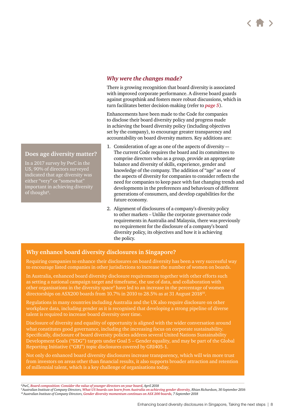### *Why were the changes made?*

There is growing recognition that board diversity is associated with improved corporate performance. A diverse board guards against groupthink and fosters more robust discussions, which in turn facilitates better decision-making (refer to *[page](#page-4-0) 5*).

Enhancements have been made to the Code for companies to disclose their board diversity policy and progress made in achieving the board diversity policy (including objectives set by the company), to encourage greater transparency and accountability on board diversity matters. Key additions are:

- 1. Consideration of age as one of the aspects of diversity –- The current Code requires the board and its committees to comprise directors who as a group, provide an appropriate balance and diversity of skills, experience, gender and knowledge of the company. The addition of "age" as one of the aspects of diversity for companies to consider reflects the need for companies to keep pace with fast changing trends and developments in the preferences and behaviours of different generations of consumers, and develop capabilities for the future economy.
- 2. Alignment of disclosures of a company's diversity policy to other markets – Unlike the corporate governance code requirements in Australia and Malaysia, there was previously no requirement for the disclosure of a company's board diversity policy, its objectives and how it is achieving the policy.

### **Why enhance board diversity disclosures in Singapore?**

Requiring companies to enhance their disclosures on board diversity has been a very successful way to encourage listed companies in other jurisdictions to increase the number of women on boards.

In Australia, enhanced board diversity disclosure requirements together with other efforts such as setting a national campaign target and timeframe, the use of data, and collaboration with other organisations in the diversity space<sup>9</sup> have led to an increase in the percentage of women directorships on ASX200 boards from 10.7% in 2010 to 28.5% as at 31 August 2018 $^{\rm 10}$ .

Regulations in many countries including Australia and the UK also require disclosure on other workplace data, including gender as it is recognised that developing a strong pipeline of diverse talent is required to increase board diversity over time.

Disclosure of diversity and equality of opportunity is aligned with the wider conversation around what constitutes good governance, including the increasing focus on corporate sustainability. Specifically, disclosure of board diversity policies address several United Nations Sustainability Development Goals ("SDG") targets under Goal 5 – Gender equality, and may be part of the Global Reporting Initiative ("GRI") topic disclosures covered by GRI405-1.

Not only do enhanced board diversity disclosures increase transparency, which will win more trust from investors on areas other than financial results, it also supports broader attraction and retention of millennial talent, which is a key challenge of organisations today.

#### **Does age diversity matter?**

In a 2017 survey by PwC in the US, 90% of directors surveyed indicated that age diversity was either "very" or "somewhat" important in achieving diversity of thought<sup>8</sup>.

<sup>&</sup>lt;sup>8</sup>PwC, <mark>Board composition: Consider the value of younger directors on your board[, April 2018](https://www.pwc.com/us/en/services/governance-insights-center/consider-the-value-of-younger-directors-on-your-board.html?elq_mid=11238&elq_cid=1049132)<br><sup>9</sup>AustralianInstitute of Company Directors, What US boards can learn from Australia on achieving gender diversity, Rhian Richa</mark>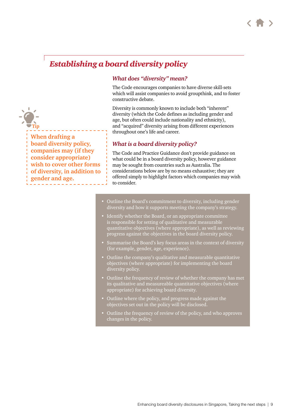# <span id="page-8-0"></span>*Establishing a board diversity policy*

### *What does "diversity" mean?*

The Code encourages companies to have diverse skill-sets which will assist companies to avoid groupthink, and to foster constructive debate.

Diversity is commonly known to include both "inherent" diversity (which the Code defines as including gender and age, but often could include nationality and ethnicity), and "acquired" diversity arising from different experiences throughout one's life and career.

### *What is a board diversity policy?*

The Code and Practice Guidance don't provide guidance on what could be in a board diversity policy, however guidance may be sought from countries such as Australia. The considerations below are by no means exhaustive; they are offered simply to highlight factors which companies may wish to consider.

- Outline the Board's commitment to diversity, including gender diversity and how it supports meeting the company's strategy.
- Identify whether the Board, or an appropriate committee is responsible for setting of qualitative and measurable quantitative objectives (where appropriate), as well as reviewing progress against the objectives in the board diversity policy.
- Summarise the Board's key focus areas in the context of diversity (for example, gender, age, experience).
- Outline the company's qualitative and measurable quantitative objectives (where appropriate) for implementing the board diversity policy.
- Outline the frequency of review of whether the company has met its qualitative and measureable quantitative objectives (where appropriate) for achieving board diversity.
- Outline where the policy, and progress made against the objectives set out in the policy will be disclosed.
- Outline the frequency of review of the policy, and who approves changes in the policy.

**When drafting a board diversity policy, companies may (if they consider appropriate) wish to cover other forms of diversity, in addition to gender and age.**

**Tip**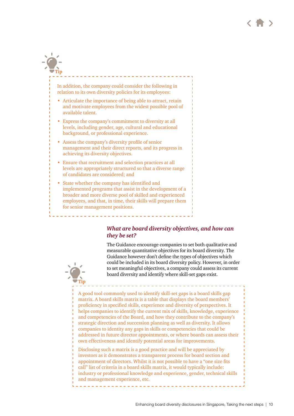# In addition, the company could consider the following in relation to its own diversity policies for its employees: • Articulate the importance of being able to attract, retain and motivate employees from the widest possible pool of available talent. • Express the company's commitment to diversity at all levels, including gender, age, cultural and educational background, or professional experience. • Assess the company's diversity profile of senior **Tip**

- management and their direct reports, and its progress in achieving its diversity objectives.
- Ensure that recruitment and selection practices at all levels are appropriately structured so that a diverse range of candidates are considered; and
- State whether the company has identified and implemented programs that assist in the development of a broader and more diverse pool of skilled and experienced employees, and that, in time, their skills will prepare them for senior management positions.

**Tip**

### *What are board diversity objectives, and how can they be set?*

The Guidance encourage companies to set both qualitative and measurable quantitative objectives for its board diversity. The Guidance however don't define the types of objectives which could be included in its board diversity policy. However, in order to set meaningful objectives, a company could assess its current board diversity and identify where skill-set gaps exist.

A good tool commonly used to identify skill-set gaps is a board skills gap matrix. A board skills matrix is a table that displays the board members' proficiency in specified skills, experience and diversity of perspectives. It helps companies to identify the current mix of skills, knowledge, experience and competencies of the Board, and how they contribute to the company's strategic direction and succession planning as well as diversity. It allows companies to identity any gaps in skills or competencies that could be addressed in future director appointments, or where boards can assess their own effectiveness and identify potential areas for improvements.

Disclosing such a matrix is a good practice and will be appreciated by investors as it demonstrates a transparent process for board section and appointment of directors. Whilst it is not possible to have a "one size fits call" list of criteria in a board skills matrix, it would typically include: industry or professional knowledge and experience, gender, technical skills and management experience, etc.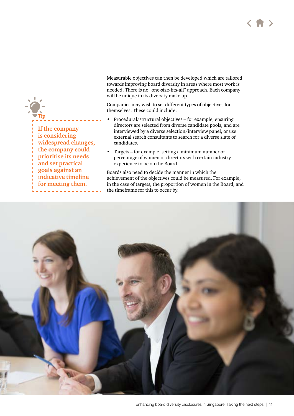



Measurable objectives can then be developed which are tailored towards improving board diversity in areas where most work is needed. There is no "one-size-fits-all" approach. Each company will be unique in its diversity make up.

Companies may wish to set different types of objectives for themselves. These could include:

- Procedural/structural objectives for example, ensuring directors are selected from diverse candidate pools, and are interviewed by a diverse selection/interview panel, or use external search consultants to search for a diverse slate of candidates.
- Targets for example, setting a minimum number or percentage of women or directors with certain industry experience to be on the Board.

Boards also need to decide the manner in which the achievement of the objectives could be measured. For example, in the case of targets, the proportion of women in the Board, and the timeframe for this to occur by.

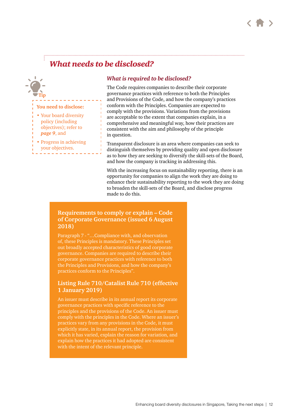

# *What needs to be disclosed?*

<span id="page-11-0"></span>

### *What is required to be disclosed?*

The Code requires companies to describe their corporate governance practices with reference to both the Principles and Provisions of the Code, and how the company's practices conform with the Principles. Companies are expected to comply with the provisions. Variations from the provisions are acceptable to the extent that companies explain, in a comprehensive and meaningful way, how their practices are consistent with the aim and philosophy of the principle in question.

Transparent disclosure is an area where companies can seek to distinguish themselves by providing quality and open disclosure as to how they are seeking to diversify the skill-sets of the Board, and how the company is tracking in addressing this.

With the increasing focus on sustainability reporting, there is an opportunity for companies to align the work they are doing to enhance their sustainability reporting to the work they are doing to broaden the skill-sets of the Board, and disclose progress made to do this.

### **Requirements to comply or explain – Code of Corporate Governance (issued 6 August 2018)**

Paragraph 7 - "...Compliance with, and observation of, these Principles is mandatory. These Principles set out broadly accepted characteristics of good corporate governance. Companies are required to describe their corporate governance practices with reference to both the Principles and Provisions, and how the company's practices conform to the Principles".

### **Listing Rule 710/Catalist Rule 710 (effective 1 January 2019)**

An issuer must describe in its annual report its corporate governance practices with specific reference to the principles and the provisions of the Code. An issuer must comply with the principles in the Code. Where an issuer's practices vary from any provisions in the Code, it must explicitly state, in its annual report, the provision from which it has varied, explain the reason for variation, and explain how the practices it had adopted are consistent with the intent of the relevant principle.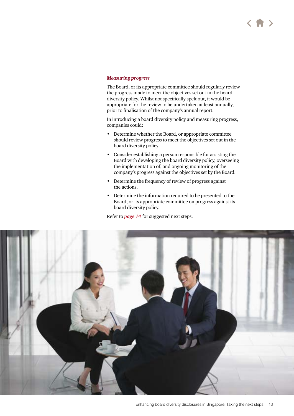#### *Measuring progress*

The Board, or its appropriate committee should regularly review the progress made to meet the objectives set out in the board diversity policy. Whilst not specifically spelt out, it would be appropriate for the review to be undertaken at least annually, prior to finalisation of the company's annual report.

In introducing a board diversity policy and measuring progress, companies could:

- Determine whether the Board, or appropriate committee should review progress to meet the objectives set out in the board diversity policy.
- Consider establishing a person responsible for assisting the Board with developing the board diversity policy, overseeing the implementation of, and ongoing monitoring of the company's progress against the objectives set by the Board.
- Determine the frequency of review of progress against the actions.
- Determine the information required to be presented to the Board, or its appropriate committee on progress against its board diversity policy.

Refer to *[page 1](#page-13-0)4* for suggested next steps.

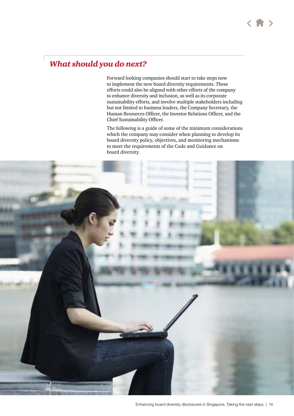# <span id="page-13-0"></span>*What should you do next?*

Forward looking companies should start to take steps now to implement the new board diversity requirements. These efforts could also be aligned with other efforts of the company to enhance diversity and inclusion, as well as its corporate sustainability efforts, and involve multiple stakeholders including but not limited to business leaders, the Company Secretary, the Human Resources Officer, the Investor Relations Officer, and the Chief Sustainability Officer.

The following is a guide of some of the minimum considerations which the company may consider when planning to develop its board diversity policy, objectives, and monitoring mechanisms to meet the requirements of the Code and Guidance on board diversity.

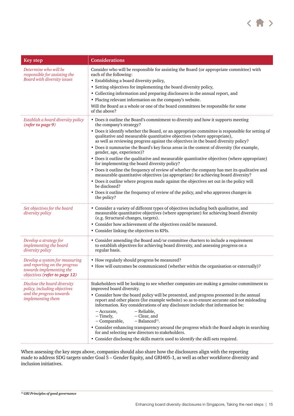

| <b>Key step</b>                                                                                                              | <b>Considerations</b>                                                                                                                                                                                                                                                                                                                                                                                                                                                                                                                                                                                                                                                                                                                                                                                                                                                                                                                                                                                                                                                |
|------------------------------------------------------------------------------------------------------------------------------|----------------------------------------------------------------------------------------------------------------------------------------------------------------------------------------------------------------------------------------------------------------------------------------------------------------------------------------------------------------------------------------------------------------------------------------------------------------------------------------------------------------------------------------------------------------------------------------------------------------------------------------------------------------------------------------------------------------------------------------------------------------------------------------------------------------------------------------------------------------------------------------------------------------------------------------------------------------------------------------------------------------------------------------------------------------------|
| Determine who will be<br>responsible for assisting the<br>Board with diversity issues                                        | Consider who will be responsible for assisting the Board (or appropriate committee) with<br>each of the following:<br>• Establishing a board diversity policy,<br>• Setting objectives for implementing the board diversity policy,<br>• Collecting information and preparing disclosures in the annual report, and<br>• Placing relevant information on the company's website.<br>Will the Board as a whole or one of the board committees be responsible for some<br>of the above?                                                                                                                                                                                                                                                                                                                                                                                                                                                                                                                                                                                 |
| Establish a board diversity policy<br>(refer to page 9)                                                                      | • Does it outline the Board's commitment to diversity and how it supports meeting<br>the company's strategy?<br>• Does it identify whether the Board, or an appropriate committee is responsible for setting of<br>qualitative and measurable quantitative objectives (where appropriate),<br>as well as reviewing progress against the objectives in the board diversity policy?<br>• Does it summarise the Board's key focus areas in the context of diversity (for example,<br>gender, age, experience)?<br>• Does it outline the qualitative and measurable quantitative objectives (where appropriate)<br>for implementing the board diversity policy?<br>• Does it outline the frequency of review of whether the company has met its qualitative and<br>measurable quantitative objectives (as appropriate) for achieving board diversity?<br>• Does it outline where progress made against the objectives set out in the policy will<br>be disclosed?<br>• Does it outline the frequency of review of the policy, and who approves changes in<br>the policy? |
| Set objectives for the board<br>diversity policy                                                                             | • Consider a variety of different types of objectives including both qualitative, and<br>measurable quantitative objectives (where appropriate) for achieving board diversity<br>(e.g. Structural changes, targets).<br>• Consider how achievement of the objectives could be measured.<br>• Consider linking the objectives to KPIs.                                                                                                                                                                                                                                                                                                                                                                                                                                                                                                                                                                                                                                                                                                                                |
| Develop a strategy for<br><i>implementing the board</i><br>diversity policy                                                  | • Consider amending the Board and/or committee charters to include a requirement<br>to establish objectives for achieving board diversity, and assessing progress on a<br>regular basis.                                                                                                                                                                                                                                                                                                                                                                                                                                                                                                                                                                                                                                                                                                                                                                                                                                                                             |
| Develop a system for measuring<br>and reporting on the progress<br>towards implementing the<br>objectives (refer to page 12) | • How regularly should progress be measured?<br>• How will outcomes be communicated (whether within the organisation or externally)?                                                                                                                                                                                                                                                                                                                                                                                                                                                                                                                                                                                                                                                                                                                                                                                                                                                                                                                                 |
| Disclose the board diversity<br>policy, including objectives<br>and the progress towards<br><i>implementing them</i>         | Stakeholders will be looking to see whether companies are making a genuine commitment to<br>improved board diversity.<br>• Consider how the board policy will be presented, and progress presented in the annual<br>report and other places (for example website) so as to ensure accurate and not misleading<br>information. Key considerations of any disclosure include that information be:<br>- Reliable,<br>– Accurate,<br>- Clear, and<br>– Timely,<br>$-$ Balanced <sup>11</sup> .<br>- Comparable,<br>• Consider enhancing transparency around the progress which the Board adopts in searching<br>for and selecting new directors to stakeholders.<br>• Consider disclosing the skills matrix used to identify the skill-sets required.                                                                                                                                                                                                                                                                                                                    |

When assessing the key steps above, companies should also share how the disclosures align with the reporting made to address SDG targets under Goal 5 – Gender Equity, and GRI405-1, as well as other workforce diversity and inclusion initiatives.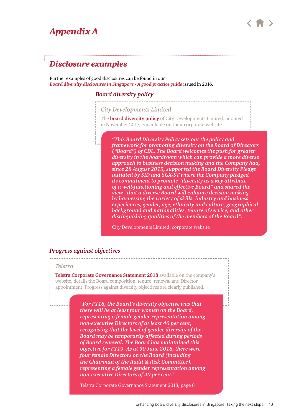# <span id="page-15-0"></span>*Appendix A*



# *Disclosure examples*

Further examples of good disclosures can be found in our *[Board diversity disclosures in Singapore - A good practice guide](https://www.pwc.com/sg/en/publications/assets/board-diversity-disclosures.pdf)* issued in 2016.

### *Board diversity policy*

----------------------

*City Developments Limited* 

The **[board diversity policy](http://media.corporate-ir.net/media_files/IROL/60/60774/Board-Diversity-Policy-CDL-website.pdf)** of City Developments Limited, adopted in November 2017, is available on their corporate website.

*"This Board Diversity Policy sets out the policy and framework for promoting diversity on the Board of Directors ("Board") of CDL. The Board welcomes the push for greater diversity in the boardroom which can provide a more diverse approach to business decision making and the Company had, since 28 August 2015, supported the Board Diversity Pledge initiated by SID and SGX-ST where the Company pledged its commitment to promote "diversity as a key attribute of a well-functioning and effective Board" and shared the view "that a diverse Board will enhance decision making by harnessing the variety of skills, industry and business experiences, gender, age, ethnicity and culture, geographical background and nationalities, tenure of service, and other distinguishing qualities of the members of the Board".* 

City Developments Limited, corporate website

#### *Progress against objectives*

#### *Telstra*

**[Telstra Corporate Governance Statement 2018](https://www.telstra.com.au/content/dam/tcom/about-us/investors/pdf%20F/2018-Corporate-Governance-Statement.pdf)** available on the company's website, details the Board composition, tenure, renewal and Director appointment. Progress against diversity objectives are clearly published.

> *"For FY18, the Board's diversity objective was that there will be at least four women on the Board, representing a female gender representation among non-executive Directors of at least 40 per cent, recognising that the level of gender diversity of the Board may be temporarily affected during periods of Board renewal. The Board has maintained this objective for FY19. As at 30 June 2018, there were four female Directors on the Board (including the Chairman of the Audit & Risk Committee), representing a female gender representation among non-executive Directors of 40 per cent."*

Telstra Corporate Governance Statement 2018, page 6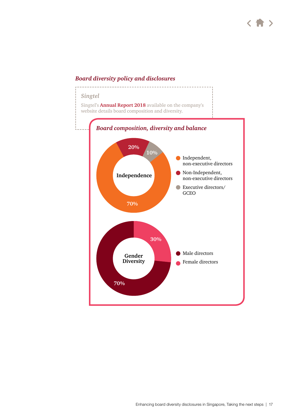## *Board diversity policy and disclosures*

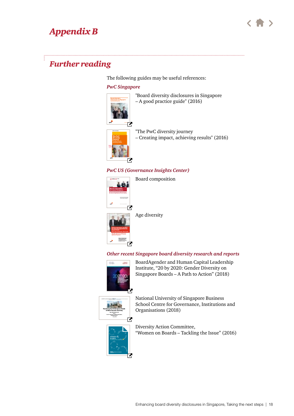# <span id="page-17-0"></span>*Appendix B*



# *Further reading*

The following guides may be useful references:

#### *PwC Singapore*



"Board diversity disclosures in Singapore – A good practice guide" (2016)



"The PwC diversity journey – Creating impact, achieving results" (2016)

#### *PwC US (Governance Insights Center)*



Board composition



Age diversity

#### *Other recent Singapore board diversity research and reports*



BoardAgender and Human Capital Leadership Institute, "20 by 2020: Gender Diversity on Singapore Boards – A Path to Action" (2018)



National University of Singapore Business School Centre for Governance, Institutions and Organisations (2018)



Diversity Action Committee, "Women on Boards – Tackling the Issue" (2016)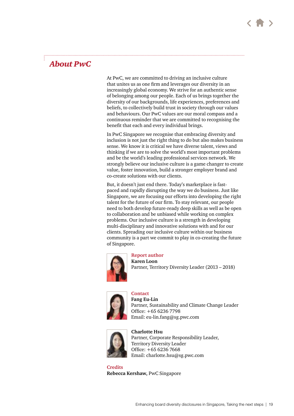# *About PwC*

At PwC, we are committed to driving an inclusive culture that unites us as one firm and leverages our diversity in an increasingly global economy. We strive for an authentic sense of belonging among our people. Each of us brings together the diversity of our backgrounds, life experiences, preferences and beliefs, to collectively build trust in society through our values and behaviours. Our PwC values are our moral compass and a continuous reminder that we are committed to recognising the benefit that each and every individual brings.

In PwC Singapore we recognise that embracing diversity and inclusion is not just the right thing to do but also makes business sense. We know it is critical we have diverse talent, views and thinking if we are to solve the world's most important problems and be the world's leading professional services network. We strongly believe our inclusive culture is a game changer to create value, foster innovation, build a stronger employer brand and co-create solutions with our clients.

But, it doesn't just end there. Today's marketplace is fastpaced and rapidly disrupting the way we do business. Just like Singapore, we are focusing our efforts into developing the right talent for the future of our firm. To stay relevant, our people need to both develop future-ready deep skills as well as be open to collaboration and be unbiased while working on complex problems. Our inclusive culture is a strength in developing multi-disciplinary and innovative solutions with and for our clients. Spreading our inclusive culture within our business community is a part we commit to play in co-creating the future of Singapore.



#### **Report author**

**Karen Loon** Partner, Territory Diversity Leader (2013 – 2018)



**Contact Fang Eu-Lin** Partner, Sustainability and Climate Change Leader Office: +65 6236 7798 Email: [eu-lin.fang@sg.pwc.com](mailto:eu-lin.fang%40sg.pwc.com%20?subject=)



#### **Charlotte Hsu**

Partner, Corporate Responsibility Leader, Territory Diversity Leader Office: +65 6236 7668 Email: charlotte.hsu[@sg.pwc.com](mailto:eu-lin.fang%40sg.pwc.com%20?subject=)

**Credits Rebecca Kershaw,** PwC Singapore